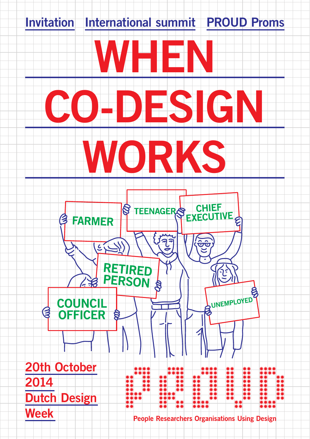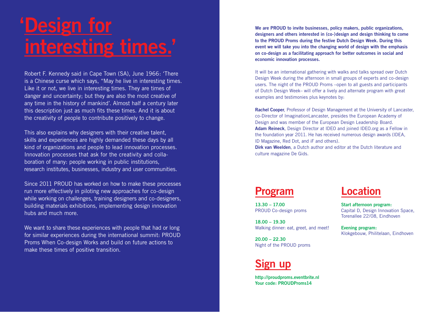# **'Design for interesting times.'**

Robert F. Kennedy said in Cape Town (SA), June 1966: 'There is a Chinese curse which says, "May he live in interesting times. Like it or not, we live in interesting times. They are times of danger and uncertainty; but they are also the most creative of any time in the history of mankind'. Almost half a century later this description just as much fits these times. And it is about the creativity of people to contribute positively to change.

This also explains why designers with their creative talent, skills and experiences are highly demanded these days by all kind of organizations and people to lead innovation processes. Innovation processes that ask for the creativity and collaboration of many: people working in public institutions, research institutes, businesses, industry and user communities.

Since 2011 PROUD has worked on how to make these processes run more effectively in piloting new approaches for co-design while working on challenges, training designers and co-designers, building materials exhibitions, implementing design innovation hubs and much more.

We want to share these experiences with people that had or long for similar experiences during the international summit: PROUD Proms When Co-design Works and build on future actions to make these times of positive transition.

**We are PROUD to invite businesses, policy makers, public organizations, designers and others interested in (co-)design and design thinking to come to the PROUD Proms during the festive Dutch Design Week. During this event we will take you into the changing world of design with the emphasis on co-design as a facilitating approach for better outcomes in social and economic innovation processes.**

It will be an international gathering with walks and talks spread over Dutch Design Week during the afternoon in small groups of experts and co-design users. The night of the PROUD Proms –open to all guests and participants of Dutch Design Week– will offer a lively and alternate program with great examples and testimonies plus keynotes by:

**Rachel Cooper**, Professor of Design Management at the University of Lancaster, co-Director of ImaginationLancaster, presides the European Academy of Design and was member of the European Design Leadership Board. **Adam Reineck**, Design Director at IDEO and joined IDEO.org as a Fellow in the foundation year 2011. He has received numerous design awards (IDEA, ID Magazine, Red Dot, and iF and others).

**Dirk van Weelden**, a Dutch author and editor at the Dutch literature and culture magazine De Gids.

### **Program**

**13.30 – 17.00** PROUD Co-design proms

**18.00 – 19.30** Walking dinner: eat, greet, and meet!

**20.00 – 22.30** Night of the PROUD proms

## **Sign up**

**http://proudproms.eventbrite.nl Your code: PROUDProms14**

**Location**

**Start afternoon program:** Capital D, Design Innovation Space, Torenallee 22/08, Eindhoven

**Evening program:** Klokgebouw, Philitelaan, Eindhoven